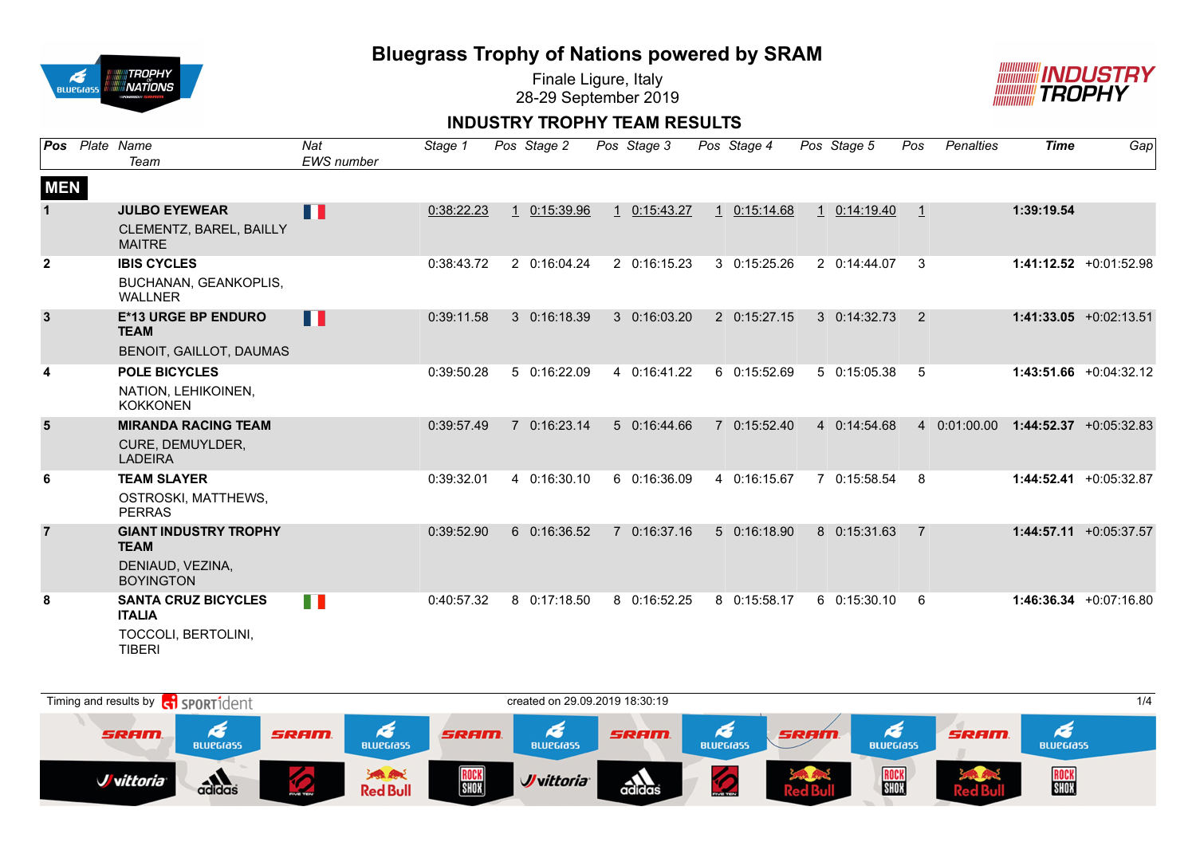

Finale Ligure, Italy 28-29 September 2019



### **INDUSTRY TROPHY TEAM RESULTS**

| Pos            | Plate Name<br>Team                          | Nat<br><b>EWS</b> number | Stage 1    | Pos Stage 2  | Pos Stage 3  |              | Pos Stage 4  | Pos Stage 5          | Pos          | <b>Penalties</b> | <b>Time</b> | Gap                       |
|----------------|---------------------------------------------|--------------------------|------------|--------------|--------------|--------------|--------------|----------------------|--------------|------------------|-------------|---------------------------|
| <b>MEN</b>     |                                             |                          |            |              |              |              |              |                      |              |                  |             |                           |
| $\mathbf{1}$   | <b>JULBO EYEWEAR</b>                        | Ш                        | 0:38:22.23 | 0:15:39.96   | 1 0:15:43.27 | $\mathbf{1}$ | 0:15:14.68   | $1 \quad 0:14:19.40$ | $\mathbf{1}$ |                  | 1:39:19.54  |                           |
|                | CLEMENTZ, BAREL, BAILLY<br><b>MAITRE</b>    |                          |            |              |              |              |              |                      |              |                  |             |                           |
| $\mathbf{2}$   | <b>IBIS CYCLES</b>                          |                          | 0:38:43.72 | 2 0:16:04.24 | 2 0:16:15.23 |              | 3 0:15:25.26 | 2 0:14:44.07         | 3            |                  |             | $1:41:12.52 +0:01:52.98$  |
|                | BUCHANAN, GEANKOPLIS,<br><b>WALLNER</b>     |                          |            |              |              |              |              |                      |              |                  |             |                           |
| $\mathbf{3}$   | <b>E*13 URGE BP ENDURO</b><br><b>TEAM</b>   | H                        | 0:39:11.58 | 3 0:16:18.39 | 3 0:16:03.20 |              | 2 0:15:27.15 | $3 \quad 0:14:32.73$ | 2            |                  |             | $1:41:33.05 +0:02:13.51$  |
|                | BENOIT, GAILLOT, DAUMAS                     |                          |            |              |              |              |              |                      |              |                  |             |                           |
| 4              | <b>POLE BICYCLES</b>                        |                          | 0:39:50.28 | 5 0:16:22.09 | 4 0:16:41.22 |              | 6 0:15:52.69 | 5 0:15:05.38         | 5            |                  |             | $1:43:51.66 + 0:04:32.12$ |
|                | NATION, LEHIKOINEN,<br><b>KOKKONEN</b>      |                          |            |              |              |              |              |                      |              |                  |             |                           |
| 5              | <b>MIRANDA RACING TEAM</b>                  |                          | 0:39:57.49 | 7 0:16:23.14 | 5 0:16:44.66 |              | 7 0:15:52.40 | 4 0:14:54.68         |              | 4 0:01:00.00     |             | $1:44:52.37 +0:05:32.83$  |
|                | CURE, DEMUYLDER,<br><b>LADEIRA</b>          |                          |            |              |              |              |              |                      |              |                  |             |                           |
| 6              | <b>TEAM SLAYER</b>                          |                          | 0:39:32.01 | 4 0:16:30.10 | 6 0:16:36.09 |              | 4 0:16:15.67 | 7 0:15:58.54         | 8            |                  |             | 1:44:52.41 +0:05:32.87    |
|                | OSTROSKI, MATTHEWS,<br><b>PERRAS</b>        |                          |            |              |              |              |              |                      |              |                  |             |                           |
| $\overline{7}$ | <b>GIANT INDUSTRY TROPHY</b><br><b>TEAM</b> |                          | 0:39:52.90 | 6 0:16:36.52 | 7 0:16:37.16 |              | 5 0:16:18.90 | 8 0:15:31.63         |              |                  |             | $1:44:57.11 + 0:05:37.57$ |
|                | DENIAUD, VEZINA,<br><b>BOYINGTON</b>        |                          |            |              |              |              |              |                      |              |                  |             |                           |
| 8              | <b>SANTA CRUZ BICYCLES</b><br><b>ITALIA</b> | H I                      | 0:40:57.32 | 8 0:17:18.50 | 8 0:16:52.25 |              | 8 0:15:58.17 | 60:15:30.10          | 6            |                  |             | $1:46:36.34 + 0:07:16.80$ |
|                | TOCCOLI, BERTOLINI,<br><b>TIBERI</b>        |                          |            |              |              |              |              |                      |              |                  |             |                           |

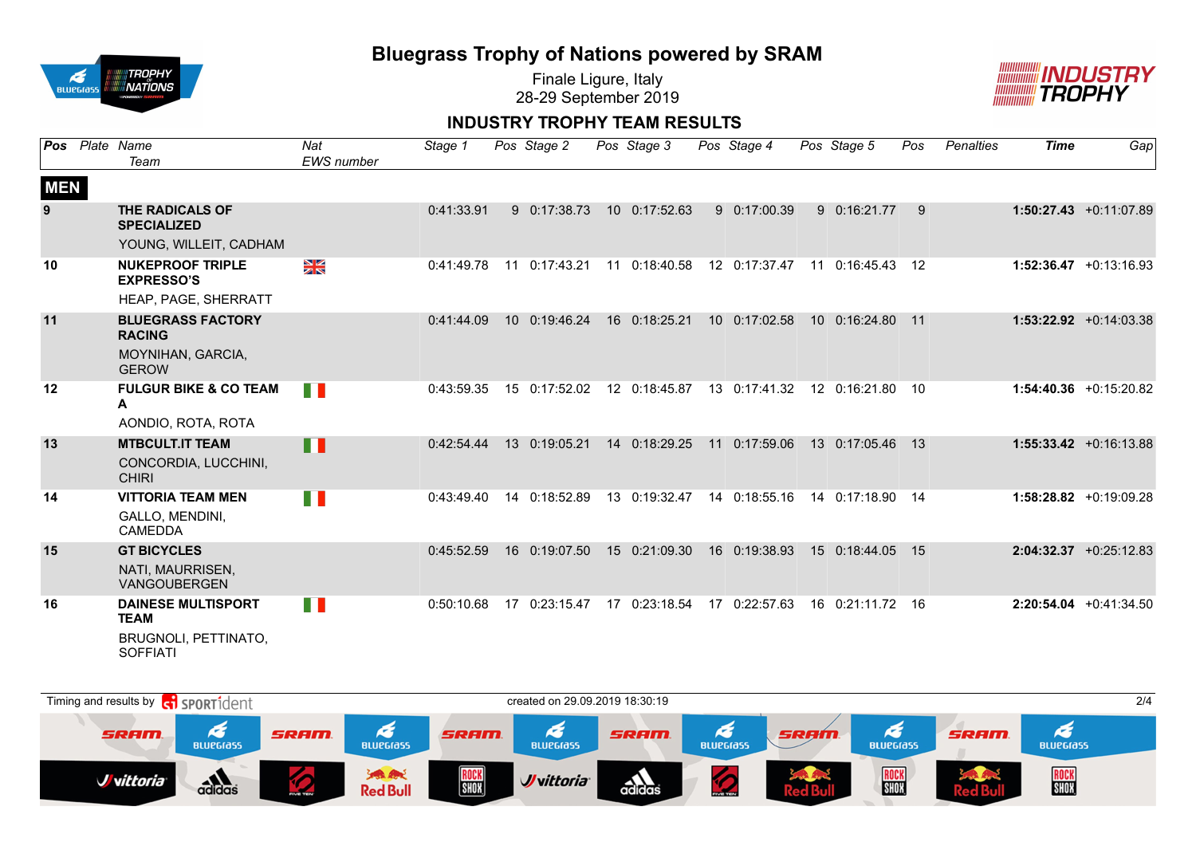

Finale Ligure, Italy 28-29 September 2019



### **INDUSTRY TROPHY TEAM RESULTS**

| Pos        | Plate Name<br>Team                                             | Nat<br><b>EWS</b> number | Stage 1    |    | Pos Stage 2   | Pos Stage 3   |    | Pos Stage 4   | Pos Stage 5      | Pos   | <b>Penalties</b> | <b>Time</b> | Gap                       |
|------------|----------------------------------------------------------------|--------------------------|------------|----|---------------|---------------|----|---------------|------------------|-------|------------------|-------------|---------------------------|
| <b>MEN</b> |                                                                |                          |            |    |               |               |    |               |                  |       |                  |             |                           |
| 9          | THE RADICALS OF<br><b>SPECIALIZED</b>                          |                          | 0:41:33.91 |    | 9 0:17:38.73  | 10 0:17:52.63 |    | 9 0:17:00.39  | 9 0:16:21.77     | 9     |                  |             | $1:50:27.43 +0:11:07.89$  |
|            | YOUNG, WILLEIT, CADHAM                                         |                          |            |    |               |               |    |               |                  |       |                  |             |                           |
| 10         | <b>NUKEPROOF TRIPLE</b><br><b>EXPRESSO'S</b>                   | $\frac{N}{N}$            | 0:41:49.78 | 11 | 0:17:43.21    | 11 0:18:40.58 |    | 12 0:17:37.47 | 11 0:16:45.43    | 12    |                  |             | $1:52:36.47 + 0:13:16.93$ |
|            | HEAP, PAGE, SHERRATT                                           |                          |            |    |               |               |    |               |                  |       |                  |             |                           |
| 11         | <b>BLUEGRASS FACTORY</b><br><b>RACING</b>                      |                          | 0:41:44.09 |    | 10 0:19:46.24 | 16 0:18:25.21 |    | 10 0:17:02.58 | 10 0:16:24.80    | $-11$ |                  |             | $1:53:22.92 +0:14:03.38$  |
|            | MOYNIHAN, GARCIA,<br><b>GEROW</b>                              |                          |            |    |               |               |    |               |                  |       |                  |             |                           |
| 12         | <b>FULGUR BIKE &amp; CO TEAM</b><br>A                          | n n                      | 0:43:59.35 |    | 15 0:17:52.02 | 12 0:18:45.87 |    | 13 0:17:41.32 | 12 0:16:21.80 10 |       |                  |             | $1:54:40.36 + 0:15:20.82$ |
|            | AONDIO, ROTA, ROTA                                             |                          |            |    |               |               |    |               |                  |       |                  |             |                           |
| 13         | <b>MTBCULT.IT TEAM</b><br>CONCORDIA, LUCCHINI,<br><b>CHIRI</b> | П                        | 0:42:54.44 |    | 13 0:19:05.21 | 14 0:18:29.25 |    | 11 0:17:59.06 | 13 0:17:05.46    | $-13$ |                  |             | $1:55:33.42 +0:16:13.88$  |
| 14         | <b>VITTORIA TEAM MEN</b><br>GALLO, MENDINI,<br><b>CAMEDDA</b>  | n a                      | 0:43:49.40 |    | 14 0:18:52.89 | 13 0:19:32.47 |    | 14 0:18:55.16 | 14 0:17:18.90 14 |       |                  |             | $1:58:28.82 + 0:19:09.28$ |
| 15         | <b>GT BICYCLES</b><br>NATI. MAURRISEN.<br>VANGOUBERGEN         |                          | 0:45:52.59 |    | 16 0:19:07.50 | 15 0:21:09.30 |    | 16 0:19:38.93 | 15 0:18:44.05    | 15    |                  |             | $2:04:32.37 +0:25:12.83$  |
| 16         | <b>DAINESE MULTISPORT</b><br><b>TEAM</b>                       | H B                      | 0:50:10.68 | 17 | 0:23:15.47    | 17 0:23:18.54 | 17 | 0:22:57.63    | 16 0:21:11.72    | 16    |                  |             | $2:20:54.04$ +0:41:34.50  |
|            | BRUGNOLI, PETTINATO,<br><b>SOFFIATI</b>                        |                          |            |    |               |               |    |               |                  |       |                  |             |                           |

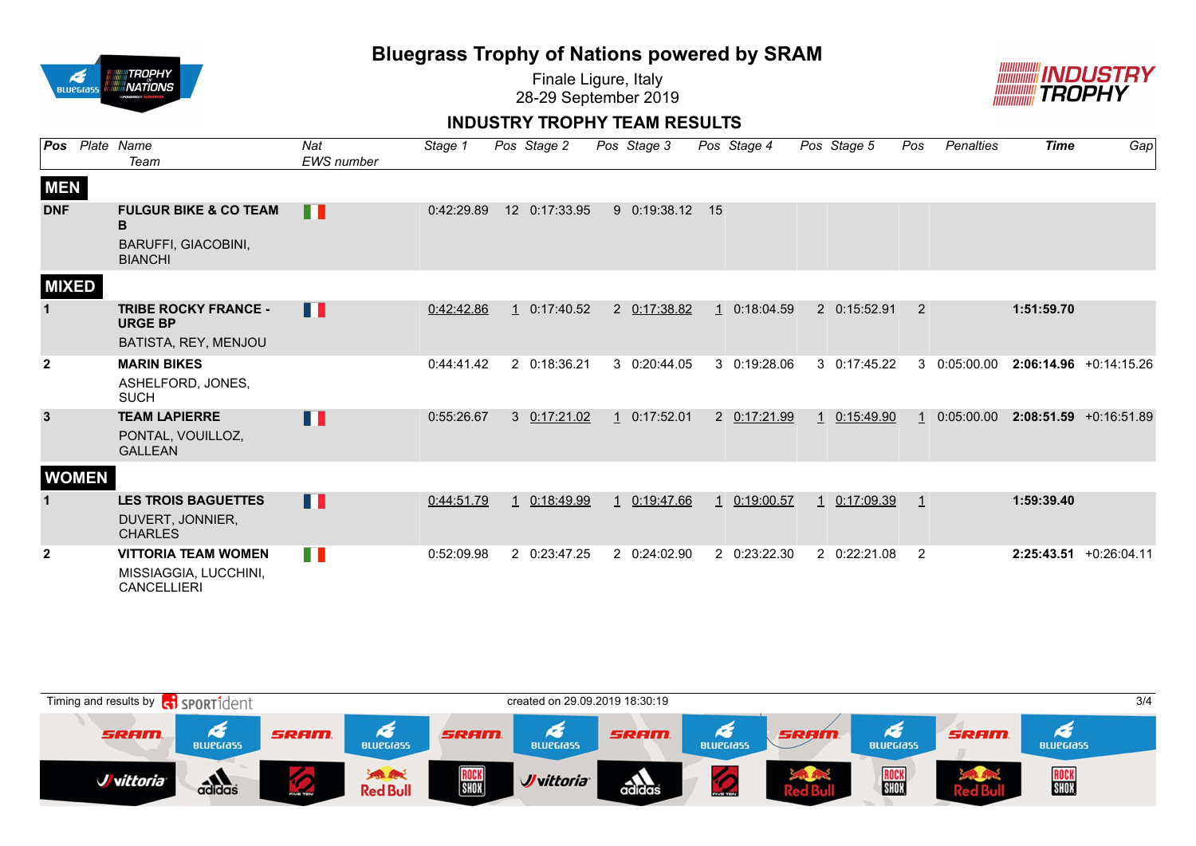

Finale Ligure, Italy 28-29 September 2019



#### **INDUSTRY TROPHY TEAM RESULTS**

|                | Pos Plate Name<br>Team                                                                | Nat<br>EWS number | Stage 1    | Pos Stage 2   | Pos Stage 3  |              | Pos Stage 4  | Pos Stage 5  | Pos          | Penalties  | <b>Time</b> | Gap                       |
|----------------|---------------------------------------------------------------------------------------|-------------------|------------|---------------|--------------|--------------|--------------|--------------|--------------|------------|-------------|---------------------------|
| <b>MEN</b>     |                                                                                       |                   |            |               |              |              |              |              |              |            |             |                           |
| <b>DNF</b>     | <b>FULGUR BIKE &amp; CO TEAM</b><br>в<br><b>BARUFFI, GIACOBINI,</b><br><b>BIANCHI</b> | H                 | 0:42:29.89 | 12 0:17:33.95 | 9 0:19:38.12 | 15           |              |              |              |            |             |                           |
| <b>MIXED</b>   |                                                                                       |                   |            |               |              |              |              |              |              |            |             |                           |
| 1              | <b>TRIBE ROCKY FRANCE -</b><br><b>URGE BP</b><br>BATISTA, REY, MENJOU                 | Ш                 | 0:42:42.86 | 1 0:17:40.52  | 2 0:17:38.82 |              | 1 0:18:04.59 | 2 0:15:52.91 | 2            |            | 1:51:59.70  |                           |
| $\overline{2}$ | <b>MARIN BIKES</b><br>ASHELFORD, JONES,<br><b>SUCH</b>                                |                   | 0:44:41.42 | 2 0:18:36.21  | 3 0:20:44.05 |              | 3 0:19:28.06 | 3 0:17:45.22 | 3            | 0:05:00.00 |             | $2:06:14.96 + 0:14:15.26$ |
| $\mathbf{3}$   | <b>TEAM LAPIERRE</b><br>PONTAL, VOUILLOZ,<br><b>GALLEAN</b>                           | Ш                 | 0:55:26.67 | 3 0:17:21.02  | 1 0:17:52.01 |              | 2 0:17:21.99 | 1 0:15:49.90 |              | 0:05:00.00 |             | $2:08:51.59$ +0:16:51.89  |
| <b>WOMEN</b>   |                                                                                       |                   |            |               |              |              |              |              |              |            |             |                           |
|                | <b>LES TROIS BAGUETTES</b><br>DUVERT, JONNIER,<br><b>CHARLES</b>                      | Ш                 | 0:44:51.79 | 0:18:49.99    | 0:19:47.66   | $\mathbf{1}$ | 0:19:00.57   | 1 0:17:09.39 | $\mathbf{1}$ |            | 1:59:39.40  |                           |
| $\mathbf{2}$   | <b>VITTORIA TEAM WOMEN</b><br>MISSIAGGIA, LUCCHINI,<br><b>CANCELLIERI</b>             | D.                | 0:52:09.98 | 2 0:23:47.25  | 2 0:24:02.90 |              | 2 0:23:22.30 | 2 0:22:21.08 | 2            |            |             | $2:25:43.51$ +0:26:04.11  |